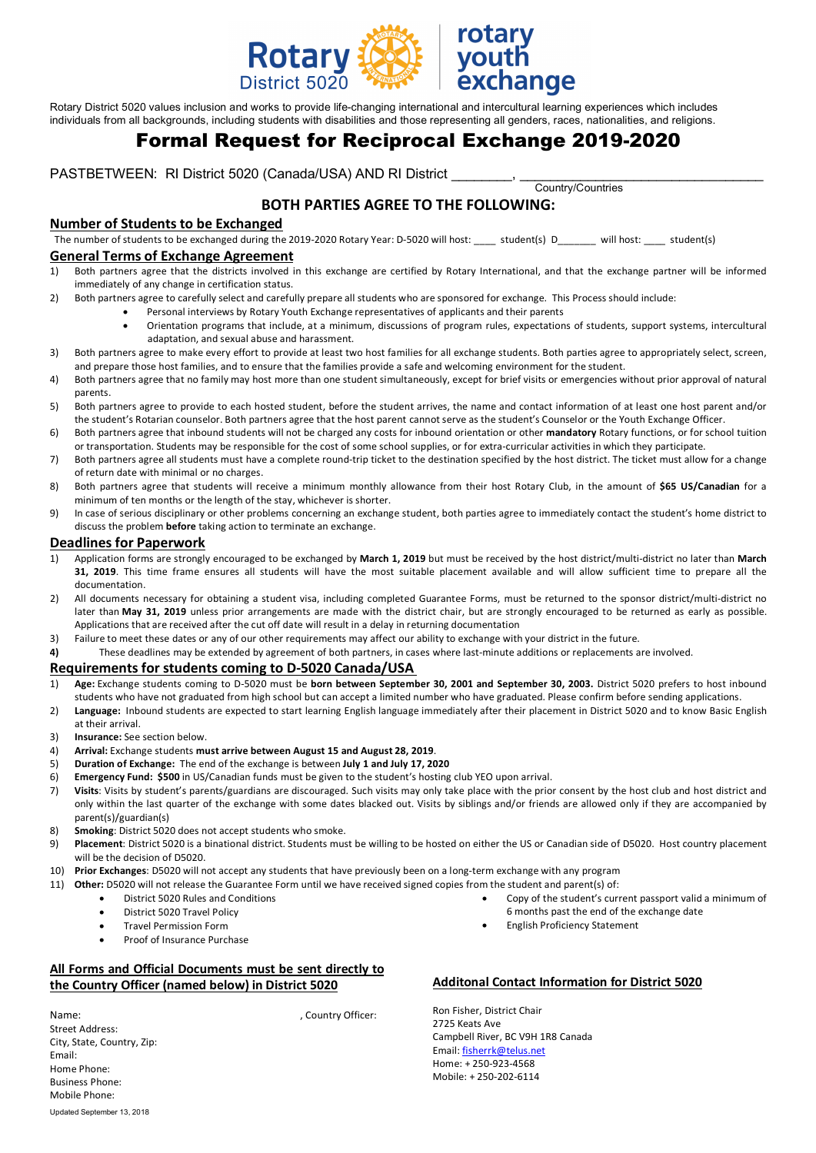

rotary hange

Rotary District 5020 values inclusion and works to provide life-changing international and intercultural learning experiences which includes individuals from all backgrounds, including students with disabilities and those representing all genders, races, nationalities, and religions.

# Formal Request for Reciprocal Exchange 2019-2020

PASTBETWEEN: RI District 5020 (Canada/USA) AND RI District \_\_\_\_\_\_\_\_, \_\_\_\_\_\_\_\_\_\_\_\_\_\_\_\_\_\_\_\_\_\_\_\_\_\_\_\_\_\_\_\_ Country/Countries

## **BOTH PARTIES AGREE TO THE FOLLOWING:**

## **Number of Students to be Exchanged**

The number of students to be exchanged during the 2019-2020 Rotary Year: D-5020 will host: \_\_\_\_ student(s) D\_\_\_\_\_\_ will host: \_\_\_\_ student(s)

## **General Terms of Exchange Agreement**

- 1) Both partners agree that the districts involved in this exchange are certified by Rotary International, and that the exchange partner will be informed immediately of any change in certification status.
- 2) Both partners agree to carefully select and carefully prepare all students who are sponsored for exchange. This Process should include:
	- Personal interviews by Rotary Youth Exchange representatives of applicants and their parents
	- Orientation programs that include, at a minimum, discussions of program rules, expectations of students, support systems, intercultural adaptation, and sexual abuse and harassment.
- 3) Both partners agree to make every effort to provide at least two host families for all exchange students. Both parties agree to appropriately select, screen, and prepare those host families, and to ensure that the families provide a safe and welcoming environment for the student.
- 4) Both partners agree that no family may host more than one student simultaneously, except for brief visits or emergencies without prior approval of natural parents.
- 5) Both partners agree to provide to each hosted student, before the student arrives, the name and contact information of at least one host parent and/or the student's Rotarian counselor. Both partners agree that the host parent cannot serve as the student's Counselor or the Youth Exchange Officer.
- 6) Both partners agree that inbound students will not be charged any costs for inbound orientation or other **mandatory** Rotary functions, or for school tuition or transportation. Students may be responsible for the cost of some school supplies, or for extra-curricular activities in which they participate.
- 7) Both partners agree all students must have a complete round-trip ticket to the destination specified by the host district. The ticket must allow for a change of return date with minimal or no charges.
- 8) Both partners agree that students will receive a minimum monthly allowance from their host Rotary Club, in the amount of **\$65 US/Canadian** for a minimum of ten months or the length of the stay, whichever is shorter.
- 9) In case of serious disciplinary or other problems concerning an exchange student, both parties agree to immediately contact the student's home district to discuss the problem **before** taking action to terminate an exchange.

### **Deadlines for Paperwork**

- 1) Application forms are strongly encouraged to be exchanged by **March 1, 2019** but must be received by the host district/multi-district no later than **March 31, 2019**. This time frame ensures all students will have the most suitable placement available and will allow sufficient time to prepare all the documentation.
- 2) All documents necessary for obtaining a student visa, including completed Guarantee Forms, must be returned to the sponsor district/multi-district no later than **May 31, 2019** unless prior arrangements are made with the district chair, but are strongly encouraged to be returned as early as possible. Applications that are received after the cut off date will result in a delay in returning documentation
- 3) Failure to meet these dates or any of our other requirements may affect our ability to exchange with your district in the future.
- **4)** These deadlines may be extended by agreement of both partners, in cases where last-minute additions or replacements are involved.

#### **Requirements for students coming to D-5020 Canada/USA**

- 1) **Age:** Exchange students coming to D-5020 must be **born between September 30, 2001 and September 30, 2003.** District 5020 prefers to host inbound students who have not graduated from high school but can accept a limited number who have graduated. Please confirm before sending applications.
- 2) **Language:** Inbound students are expected to start learning English language immediately after their placement in District 5020 and to know Basic English at their arrival.
- 3) **Insurance:** See section below.
- 4) **Arrival:** Exchange students **must arrive between August 15 and August 28, 2019**.
- 5) **Duration of Exchange:** The end of the exchange is between **July 1 and July 17, 2020**
- 6) **Emergency Fund: \$500** in US/Canadian funds must be given to the student's hosting club YEO upon arrival.
- 7) **Visits**: Visits by student's parents/guardians are discouraged. Such visits may only take place with the prior consent by the host club and host district and only within the last quarter of the exchange with some dates blacked out. Visits by siblings and/or friends are allowed only if they are accompanied by parent(s)/guardian(s)
- 8) **Smoking**: District 5020 does not accept students who smoke.
- 9) **Placement**: District 5020 is a binational district. Students must be willing to be hosted on either the US or Canadian side of D5020. Host country placement will be the decision of D5020.
- 10) **Prior Exchanges**: D5020 will not accept any students that have previously been on a long-term exchange with any program
- 11) **Other:** D5020 will not release the Guarantee Form until we have received signed copies from the student and parent(s) of:
	- District 5020 Rules and Conditions
	- District 5020 Travel Policy
	- Travel Permission Form
	- Proof of Insurance Purchase

## **All Forms and Official Documents must be sent directly to the Country Officer (named below) in District 5020**

Name:  $\blacksquare$ 

## **Additonal Contact Information for District 5020**

• English Proficiency Statement

• Copy of the student's current passport valid a minimum of

6 months past the end of the exchange date

Ron Fisher, District Chair 2725 Keats Ave Campbell River, BC V9H 1R8 Canada Email: fisherrk@telus.net Home: + 250-923-4568 Mobile: + 250-202-6114

Updated September 13, 2018 Street Address: City, State, Country, Zip: Email: Home Phone: Business Phone: Mobile Phone: